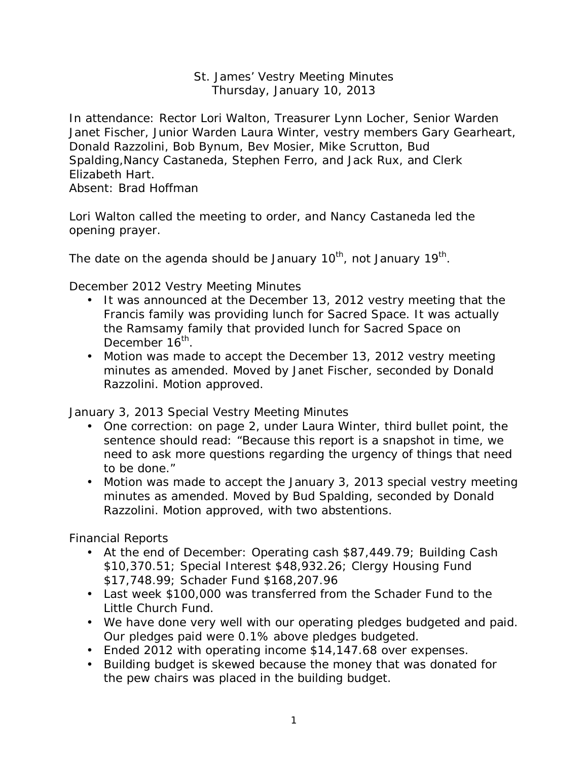### St. James' Vestry Meeting Minutes Thursday, January 10, 2013

In attendance: Rector Lori Walton, Treasurer Lynn Locher, Senior Warden Janet Fischer, Junior Warden Laura Winter, vestry members Gary Gearheart, Donald Razzolini, Bob Bynum, Bev Mosier, Mike Scrutton, Bud Spalding,Nancy Castaneda, Stephen Ferro, and Jack Rux, and Clerk Elizabeth Hart.

Absent: Brad Hoffman

Lori Walton called the meeting to order, and Nancy Castaneda led the opening prayer.

The date on the agenda should be January 10<sup>th</sup>, not January 19<sup>th</sup>.

December 2012 Vestry Meeting Minutes

- It was announced at the December 13, 2012 vestry meeting that the Francis family was providing lunch for Sacred Space. It was actually the Ramsamy family that provided lunch for Sacred Space on December 16<sup>th</sup>.
- Motion was made to accept the December 13, 2012 vestry meeting minutes as amended. Moved by Janet Fischer, seconded by Donald Razzolini. Motion approved.

January 3, 2013 Special Vestry Meeting Minutes

- One correction: on page 2, under Laura Winter, third bullet point, the sentence should read: "Because this report is a snapshot in time, we need to ask more questions regarding the urgency of things that need to be done."
- Motion was made to accept the January 3, 2013 special vestry meeting minutes as amended. Moved by Bud Spalding, seconded by Donald Razzolini. Motion approved, with two abstentions.

Financial Reports

- At the end of December: Operating cash \$87,449.79; Building Cash \$10,370.51; Special Interest \$48,932.26; Clergy Housing Fund \$17,748.99; Schader Fund \$168,207.96
- Last week \$100,000 was transferred from the Schader Fund to the Little Church Fund.
- We have done very well with our operating pledges budgeted and paid. Our pledges paid were 0.1% above pledges budgeted.
- Ended 2012 with operating income \$14,147.68 over expenses.
- Building budget is skewed because the money that was donated for the pew chairs was placed in the building budget.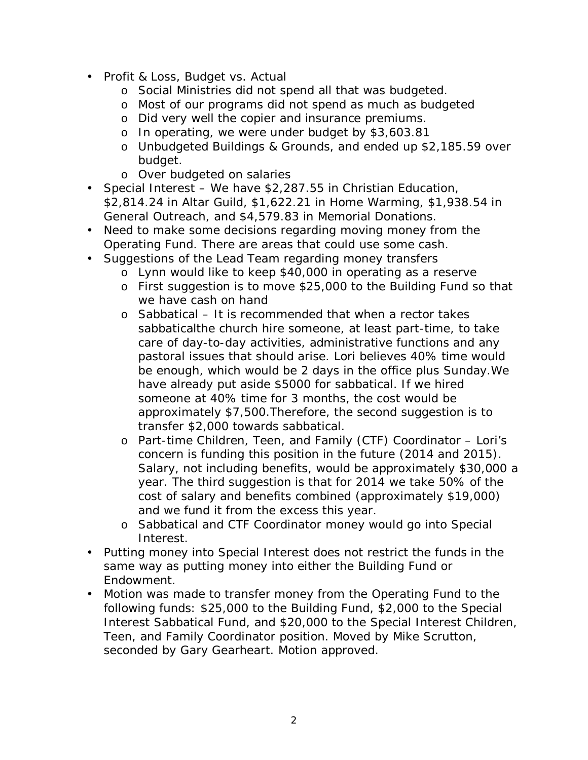- Profit & Loss, Budget vs. Actual
	- o Social Ministries did not spend all that was budgeted.
	- o Most of our programs did not spend as much as budgeted
	- o Did very well the copier and insurance premiums.
	- o In operating, we were under budget by \$3,603.81
	- o Unbudgeted Buildings & Grounds, and ended up \$2,185.59 over budget.
	- o Over budgeted on salaries
- Special Interest We have \$2,287.55 in Christian Education, \$2,814.24 in Altar Guild, \$1,622.21 in Home Warming, \$1,938.54 in General Outreach, and \$4,579.83 in Memorial Donations.
- Need to make some decisions regarding moving money from the Operating Fund. There are areas that could use some cash.
- Suggestions of the Lead Team regarding money transfers
	- o Lynn would like to keep \$40,000 in operating as a reserve
	- o First suggestion is to move \$25,000 to the Building Fund so that we have cash on hand
	- o Sabbatical It is recommended that when a rector takes sabbaticalthe church hire someone, at least part-time, to take care of day-to-day activities, administrative functions and any pastoral issues that should arise. Lori believes 40% time would be enough, which would be 2 days in the office plus Sunday.We have already put aside \$5000 for sabbatical. If we hired someone at 40% time for 3 months, the cost would be approximately \$7,500.Therefore, the second suggestion is to transfer \$2,000 towards sabbatical.
	- o Part-time Children, Teen, and Family (CTF) Coordinator Lori's concern is funding this position in the future (2014 and 2015). Salary, not including benefits, would be approximately \$30,000 a year. The third suggestion is that for 2014 we take 50% of the cost of salary and benefits combined (approximately \$19,000) and we fund it from the excess this year.
	- o Sabbatical and CTF Coordinator money would go into Special Interest.
- Putting money into Special Interest does not restrict the funds in the same way as putting money into either the Building Fund or Endowment.
- Motion was made to transfer money from the Operating Fund to the following funds: \$25,000 to the Building Fund, \$2,000 to the Special Interest Sabbatical Fund, and \$20,000 to the Special Interest Children, Teen, and Family Coordinator position. Moved by Mike Scrutton, seconded by Gary Gearheart. Motion approved.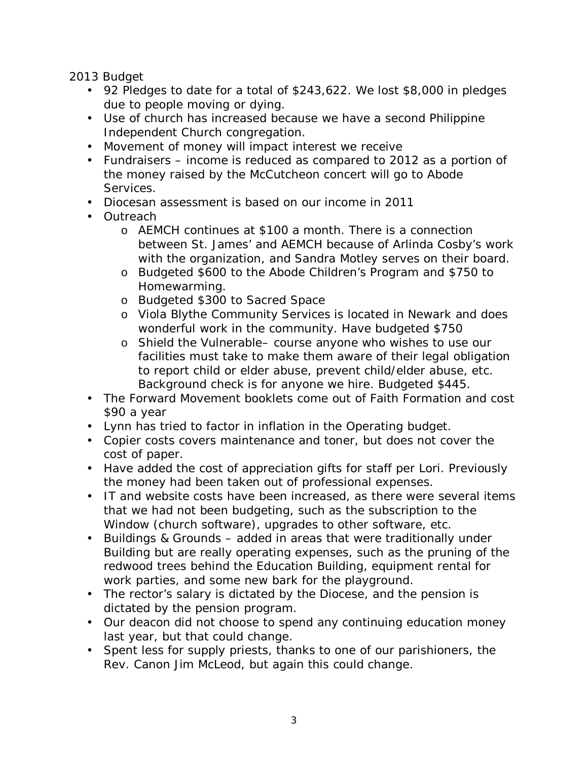2013 Budget

- 92 Pledges to date for a total of \$243,622. We lost \$8,000 in pledges due to people moving or dying.
- Use of church has increased because we have a second Philippine Independent Church congregation.
- Movement of money will impact interest we receive
- Fundraisers income is reduced as compared to 2012 as a portion of the money raised by the McCutcheon concert will go to Abode Services.
- Diocesan assessment is based on our income in 2011
- Outreach
	- o AEMCH continues at \$100 a month. There is a connection between St. James' and AEMCH because of Arlinda Cosby's work with the organization, and Sandra Motley serves on their board.
	- o Budgeted \$600 to the Abode Children's Program and \$750 to Homewarming.
	- o Budgeted \$300 to Sacred Space
	- o Viola Blythe Community Services is located in Newark and does wonderful work in the community. Have budgeted \$750
	- o Shield the Vulnerable– course anyone who wishes to use our facilities must take to make them aware of their legal obligation to report child or elder abuse, prevent child/elder abuse, etc. Background check is for anyone we hire. Budgeted \$445.
- The Forward Movement booklets come out of Faith Formation and cost \$90 a year
- Lynn has tried to factor in inflation in the Operating budget.
- Copier costs covers maintenance and toner, but does not cover the cost of paper.
- Have added the cost of appreciation gifts for staff per Lori. Previously the money had been taken out of professional expenses.
- IT and website costs have been increased, as there were several items that we had not been budgeting, such as the subscription to the Window (church software), upgrades to other software, etc.
- Buildings & Grounds added in areas that were traditionally under Building but are really operating expenses, such as the pruning of the redwood trees behind the Education Building, equipment rental for work parties, and some new bark for the playground.
- The rector's salary is dictated by the Diocese, and the pension is dictated by the pension program.
- Our deacon did not choose to spend any continuing education money last year, but that could change.
- Spent less for supply priests, thanks to one of our parishioners, the Rev. Canon Jim McLeod, but again this could change.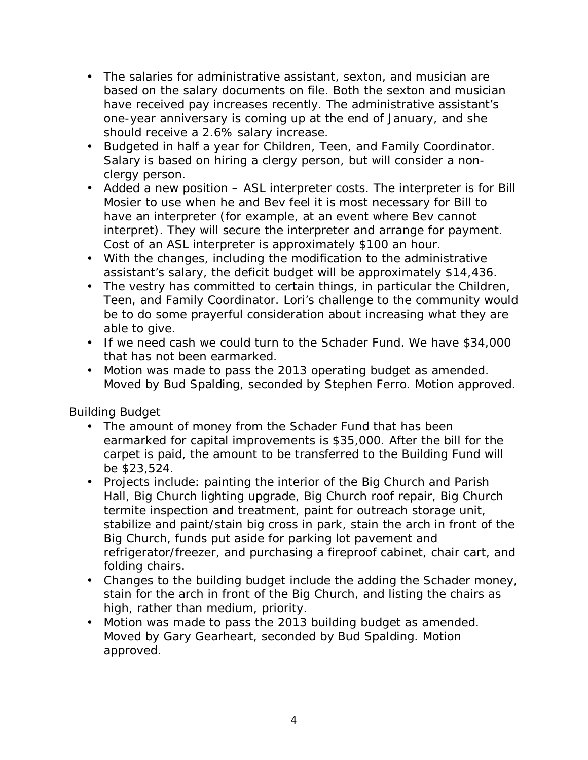- The salaries for administrative assistant, sexton, and musician are based on the salary documents on file. Both the sexton and musician have received pay increases recently. The administrative assistant's one-year anniversary is coming up at the end of January, and she should receive a 2.6% salary increase.
- Budgeted in half a year for Children, Teen, and Family Coordinator. Salary is based on hiring a clergy person, but will consider a nonclergy person.
- Added a new position ASL interpreter costs. The interpreter is for Bill Mosier to use when he and Bev feel it is most necessary for Bill to have an interpreter (for example, at an event where Bev cannot interpret). They will secure the interpreter and arrange for payment. Cost of an ASL interpreter is approximately \$100 an hour.
- With the changes, including the modification to the administrative assistant's salary, the deficit budget will be approximately \$14,436.
- The vestry has committed to certain things, in particular the Children, Teen, and Family Coordinator. Lori's challenge to the community would be to do some prayerful consideration about increasing what they are able to give.
- If we need cash we could turn to the Schader Fund. We have \$34,000 that has not been earmarked.
- Motion was made to pass the 2013 operating budget as amended. Moved by Bud Spalding, seconded by Stephen Ferro. Motion approved.

Building Budget

- The amount of money from the Schader Fund that has been earmarked for capital improvements is \$35,000. After the bill for the carpet is paid, the amount to be transferred to the Building Fund will be \$23,524.
- Projects include: painting the interior of the Big Church and Parish Hall, Big Church lighting upgrade, Big Church roof repair, Big Church termite inspection and treatment, paint for outreach storage unit, stabilize and paint/stain big cross in park, stain the arch in front of the Big Church, funds put aside for parking lot pavement and refrigerator/freezer, and purchasing a fireproof cabinet, chair cart, and folding chairs.
- Changes to the building budget include the adding the Schader money, stain for the arch in front of the Big Church, and listing the chairs as high, rather than medium, priority.
- Motion was made to pass the 2013 building budget as amended. Moved by Gary Gearheart, seconded by Bud Spalding. Motion approved.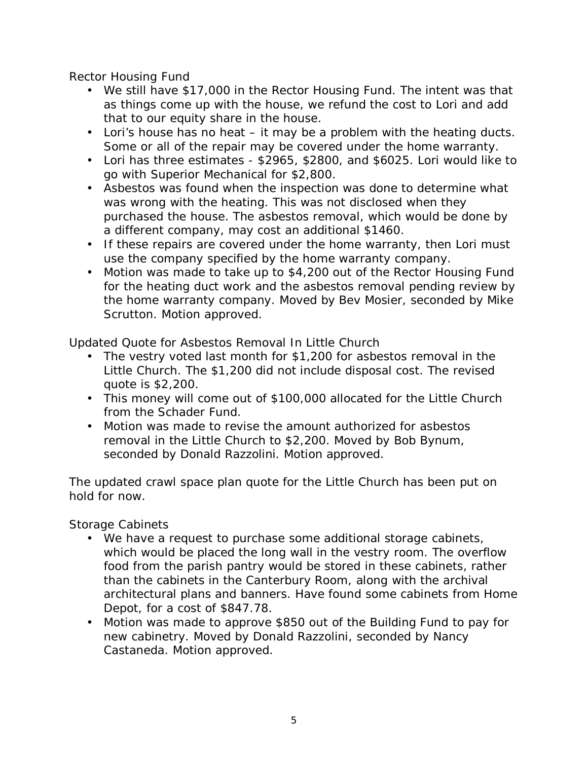Rector Housing Fund

- We still have \$17,000 in the Rector Housing Fund. The intent was that as things come up with the house, we refund the cost to Lori and add that to our equity share in the house.
- Lori's house has no heat it may be a problem with the heating ducts. Some or all of the repair may be covered under the home warranty.
- Lori has three estimates \$2965, \$2800, and \$6025. Lori would like to go with Superior Mechanical for \$2,800.
- Asbestos was found when the inspection was done to determine what was wrong with the heating. This was not disclosed when they purchased the house. The asbestos removal, which would be done by a different company, may cost an additional \$1460.
- If these repairs are covered under the home warranty, then Lori must use the company specified by the home warranty company.
- Motion was made to take up to \$4,200 out of the Rector Housing Fund for the heating duct work and the asbestos removal pending review by the home warranty company. Moved by Bev Mosier, seconded by Mike Scrutton. Motion approved.

Updated Quote for Asbestos Removal In Little Church

- The vestry voted last month for \$1,200 for asbestos removal in the Little Church. The \$1,200 did not include disposal cost. The revised quote is \$2,200.
- This money will come out of \$100,000 allocated for the Little Church from the Schader Fund.
- Motion was made to revise the amount authorized for asbestos removal in the Little Church to \$2,200. Moved by Bob Bynum, seconded by Donald Razzolini. Motion approved.

The updated crawl space plan quote for the Little Church has been put on hold for now.

Storage Cabinets

- We have a request to purchase some additional storage cabinets, which would be placed the long wall in the vestry room. The overflow food from the parish pantry would be stored in these cabinets, rather than the cabinets in the Canterbury Room, along with the archival architectural plans and banners. Have found some cabinets from Home Depot, for a cost of \$847.78.
- Motion was made to approve \$850 out of the Building Fund to pay for new cabinetry. Moved by Donald Razzolini, seconded by Nancy Castaneda. Motion approved.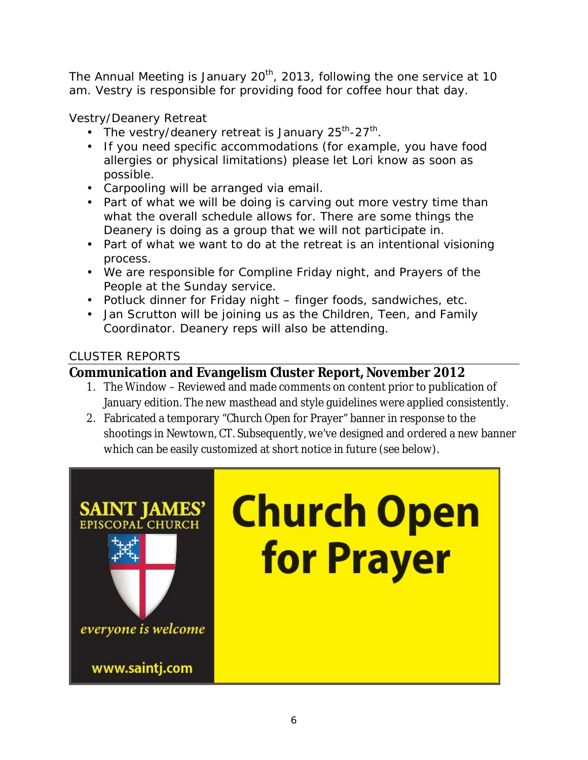The Annual Meeting is January 20<sup>th</sup>, 2013, following the one service at 10 am. Vestry is responsible for providing food for coffee hour that day.

Vestry/Deanery Retreat

- The vestry/deanery retreat is January  $25^{th}$ - $27^{th}$ .
- If you need specific accommodations (for example, you have food allergies or physical limitations) please let Lori know as soon as possible.
- Carpooling will be arranged via email.
- Part of what we will be doing is carving out more vestry time than what the overall schedule allows for. There are some things the Deanery is doing as a group that we will not participate in.
- Part of what we want to do at the retreat is an intentional visioning process.
- We are responsible for Compline Friday night, and Prayers of the People at the Sunday service.
- Potluck dinner for Friday night finger foods, sandwiches, etc.
- Jan Scrutton will be joining us as the Children, Teen, and Family Coordinator. Deanery reps will also be attending.

# CLUSTER REPORTS

# **Communication and Evangelism Cluster Report, November 2012**

- 1. The Window Reviewed and made comments on content prior to publication of January edition. The new masthead and style guidelines were applied consistently.
- 2. Fabricated a temporary "Church Open for Prayer" banner in response to the shootings in Newtown, CT. Subsequently, we've designed and ordered a new banner which can be easily customized at short notice in future (see below).

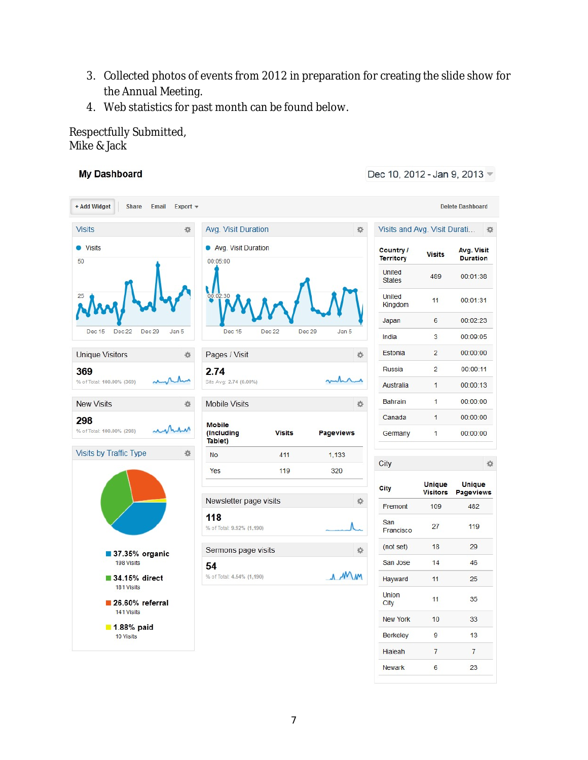- 3. Collected photos of events from 2012 in preparation for creating the slide show for the Annual Meeting.
- 4. Web statistics for past month can be found below.

Respectfully Submitted, Mike & Jack

#### **My Dashboard**

Dec 10, 2012 - Jan 9, 2013 -

| + Add Widget<br><b>Share</b><br>Email                                                                         | Export $\blacktriangledown$ |                                  |               |                  |         |                               |                                  | <b>Delete Dashboard</b>           |
|---------------------------------------------------------------------------------------------------------------|-----------------------------|----------------------------------|---------------|------------------|---------|-------------------------------|----------------------------------|-----------------------------------|
| <b>Visits</b>                                                                                                 | 烧                           | Avg. Visit Duration<br>许         |               |                  |         | Visits and Avg. Visit Durati  |                                  | 收                                 |
| <b>O</b> Visits<br>50                                                                                         |                             | Avg. Visit Duration<br>00:05:00  |               |                  |         | Country /<br><b>Territory</b> | <b>Visits</b>                    | Avg. Visit<br><b>Duration</b>     |
|                                                                                                               |                             |                                  |               |                  |         | United<br><b>States</b>       | 489                              | 00:01:38                          |
|                                                                                                               |                             | 00:02:30                         |               |                  |         | United<br>Kingdom             | 11                               | 00:01:31                          |
|                                                                                                               |                             |                                  |               |                  |         | Japan                         | 6                                | 00:02:23                          |
| Dec 22<br>Dec 29<br>Dec 15                                                                                    | Jan 5                       | Dec 15                           | Dec 22        | Dec 29<br>Jan 5  |         | India                         | 3                                | 00:09:05                          |
| <b>Unique Visitors</b>                                                                                        | Pages / Visit<br>森          |                                  |               |                  | 办       | Estonia                       | $\overline{2}$                   | 00:00:00                          |
| 369                                                                                                           |                             | 2.74                             |               |                  |         | Russia                        | $\overline{2}$                   | 00:00:11                          |
| % of Total: 100.00% (369)                                                                                     |                             | Site Avg: 2.74 (0.00%)           |               |                  |         | Australia                     | 1                                | 00:00:13                          |
| <b>New Visits</b>                                                                                             | 收                           | <b>Mobile Visits</b>             |               |                  | 许       | <b>Bahrain</b>                | $\mathbf{1}$                     | 00:00:00                          |
| 298                                                                                                           |                             | <b>Mobile</b>                    |               |                  |         | Canada                        | $\overline{1}$                   | 00:00:00                          |
| % of Total: 100.00% (298)                                                                                     |                             | (Including<br>Tablet)            | <b>Visits</b> | <b>Pageviews</b> |         | Germany                       | $\overline{1}$                   | 00:00:00                          |
| Visits by Traffic Type                                                                                        | 森                           | <b>No</b>                        | 411           | 1.133            |         | City                          |                                  | 收                                 |
|                                                                                                               |                             | Yes                              | 119           | 320              |         |                               |                                  |                                   |
| 37.35% organic<br>198 Visits<br>34.15% direct<br>181 Visits<br>$26.60\%$ referral<br>141 Visits<br>1.88% paid |                             |                                  |               |                  |         | City                          | <b>Unique</b><br><b>Visitors</b> | <b>Unique</b><br><b>Pageviews</b> |
|                                                                                                               |                             | Newsletter page visits<br>许      |               |                  | Fremont | 109                           | 482                              |                                   |
|                                                                                                               |                             | 118<br>% of Total: 9.92% (1,190) |               |                  |         | San<br>Francisco              | 27                               | 119                               |
|                                                                                                               |                             | Sermons page visits              |               |                  | 壺       | (not set)                     | 18                               | 29                                |
|                                                                                                               |                             | 54                               |               |                  |         | San Jose                      | 14                               | 46                                |
|                                                                                                               |                             | MM<br>% of Total: 4.54% (1,190)  |               |                  | Hayward | 11                            | 25                               |                                   |
|                                                                                                               |                             |                                  |               |                  |         | <b>Union</b><br>City          | 11                               | 35                                |
|                                                                                                               |                             |                                  |               |                  |         | <b>New York</b>               | 10                               | 33                                |
|                                                                                                               |                             |                                  |               |                  |         |                               |                                  |                                   |

Hialeah

Newark

 $\overline{7}$ 

 $6\overline{6}$ 

 $\overline{7}$ 

23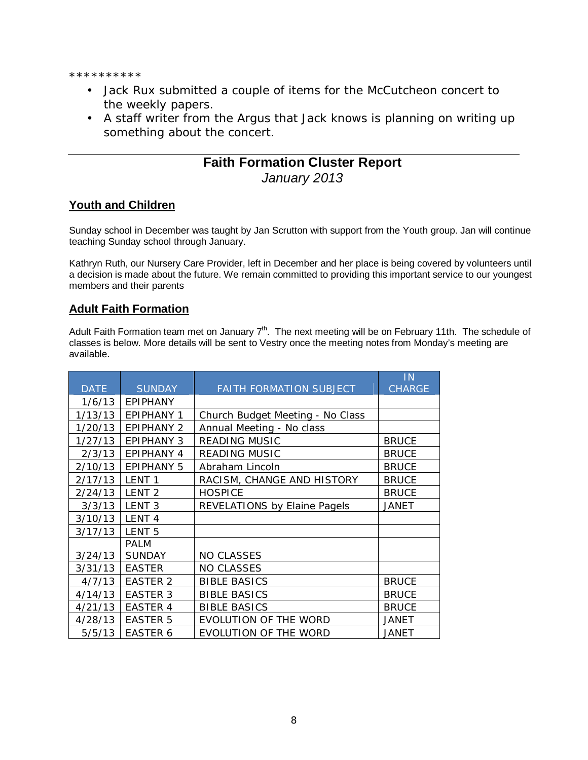\*\*\*\*\*\*\*\*\*\*

- Jack Rux submitted a couple of items for the McCutcheon concert to the weekly papers.
- A staff writer from the Argus that Jack knows is planning on writing up something about the concert.

## **Faith Formation Cluster Report**  *January 2013*

#### **Youth and Children**

Sunday school in December was taught by Jan Scrutton with support from the Youth group. Jan will continue teaching Sunday school through January.

Kathryn Ruth, our Nursery Care Provider, left in December and her place is being covered by volunteers until a decision is made about the future. We remain committed to providing this important service to our youngest members and their parents

#### **Adult Faith Formation**

Adult Faith Formation team met on January 7<sup>th</sup>. The next meeting will be on February 11th. The schedule of classes is below. More details will be sent to Vestry once the meeting notes from Monday's meeting are available.

|             |                   |                                         | IN            |
|-------------|-------------------|-----------------------------------------|---------------|
| <b>DATE</b> | <b>SUNDAY</b>     | <b>FAITH FORMATION SUBJECT</b>          | <b>CHARGE</b> |
| 1/6/13      | <b>EPIPHANY</b>   |                                         |               |
| 1/13/13     | <b>EPIPHANY 1</b> | <b>Church Budget Meeting - No Class</b> |               |
| 1/20/13     | <b>EPIPHANY 2</b> | Annual Meeting - No class               |               |
| 1/27/13     | <b>EPIPHANY 3</b> | <b>READING MUSIC</b>                    | <b>BRUCE</b>  |
| 2/3/13      | <b>EPIPHANY 4</b> | <b>READING MUSIC</b>                    | <b>BRUCE</b>  |
| 2/10/13     | <b>EPIPHANY 5</b> | Abraham Lincoln                         | <b>BRUCE</b>  |
| 2/17/13     | LENT <sub>1</sub> | RACISM, CHANGE AND HISTORY              | <b>BRUCE</b>  |
| 2/24/13     | LENT <sub>2</sub> | <b>HOSPICE</b>                          | <b>BRUCE</b>  |
| 3/3/13      | LENT <sub>3</sub> | <b>REVELATIONS by Elaine Pagels</b>     | <b>JANET</b>  |
| 3/10/13     | LENT <sub>4</sub> |                                         |               |
| 3/17/13     | LENT <sub>5</sub> |                                         |               |
|             | <b>PALM</b>       |                                         |               |
| 3/24/13     | <b>SUNDAY</b>     | <b>NO CLASSES</b>                       |               |
| 3/31/13     | <b>EASTER</b>     | <b>NO CLASSES</b>                       |               |
| 4/7/13      | <b>EASTER 2</b>   | <b>BIBLE BASICS</b>                     | <b>BRUCE</b>  |
| 4/14/13     | <b>EASTER 3</b>   | <b>BIBLE BASICS</b>                     | <b>BRUCE</b>  |
| 4/21/13     | <b>EASTER 4</b>   | <b>BIBLE BASICS</b>                     | <b>BRUCE</b>  |
| 4/28/13     | <b>EASTER 5</b>   | <b>EVOLUTION OF THE WORD</b>            | <b>JANET</b>  |
| 5/5/13      | <b>EASTER 6</b>   | <b>EVOLUTION OF THE WORD</b>            | <b>JANET</b>  |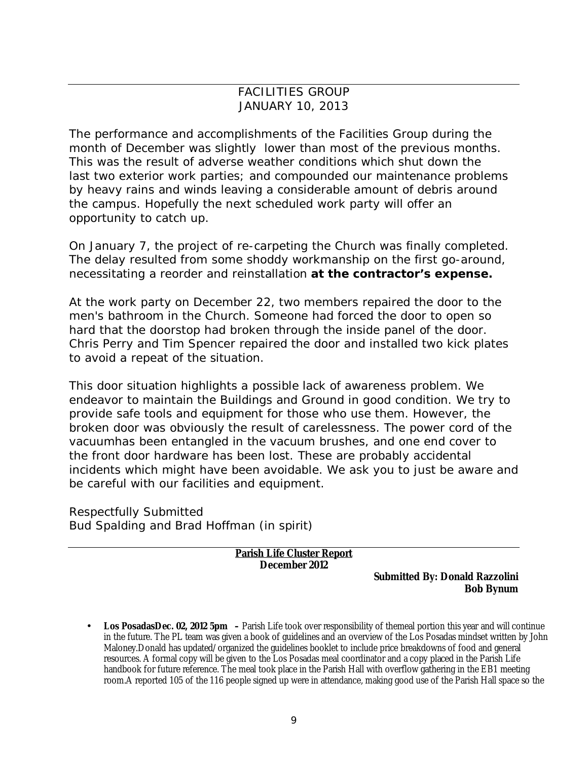#### **FACILITIES GROUP** JANUARY 10, 2013

The performance and accomplishments of the Facilities Group during the month of December was slightly lower than most of the previous months. This was the result of adverse weather conditions which shut down the last two exterior work parties; and compounded our maintenance problems by heavy rains and winds leaving a considerable amount of debris around the campus. Hopefully the next scheduled work party will offer an opportunity to catch up.

On January 7, the project of re-carpeting the Church was finally completed. The delay resulted from some shoddy workmanship on the first go-around, necessitating a reorder and reinstallation **at the contractor's expense.**

At the work party on December 22, two members repaired the door to the men's bathroom in the Church. Someone had forced the door to open so hard that the doorstop had broken through the inside panel of the door. Chris Perry and Tim Spencer repaired the door and installed two kick plates to avoid a repeat of the situation.

This door situation highlights a possible lack of awareness problem. We endeavor to maintain the Buildings and Ground in good condition. We try to provide safe tools and equipment for those who use them. However, the broken door was obviously the result of carelessness. The power cord of the vacuumhas been entangled in the vacuum brushes, and one end cover to the front door hardware has been lost. These are probably accidental incidents which might have been avoidable. We ask you to just be aware and be careful with our facilities and equipment.

Respectfully Submitted Bud Spalding and Brad Hoffman (in spirit)

> **Parish Life Cluster Report December 2012**

> > **Submitted By: Donald Razzolini Bob Bynum**

• **Los PosadasDec. 02, 2012 5pm –** Parish Life took over responsibility of themeal portion this year and will continue in the future. The PL team was given a book of guidelines and an overview of the Los Posadas mindset written by John Maloney.Donald has updated/organized the guidelines booklet to include price breakdowns of food and general resources. A formal copy will be given to the Los Posadas meal coordinator and a copy placed in the Parish Life handbook for future reference. The meal took place in the Parish Hall with overflow gathering in the EB1 meeting room.A reported 105 of the 116 people signed up were in attendance, making good use of the Parish Hall space so the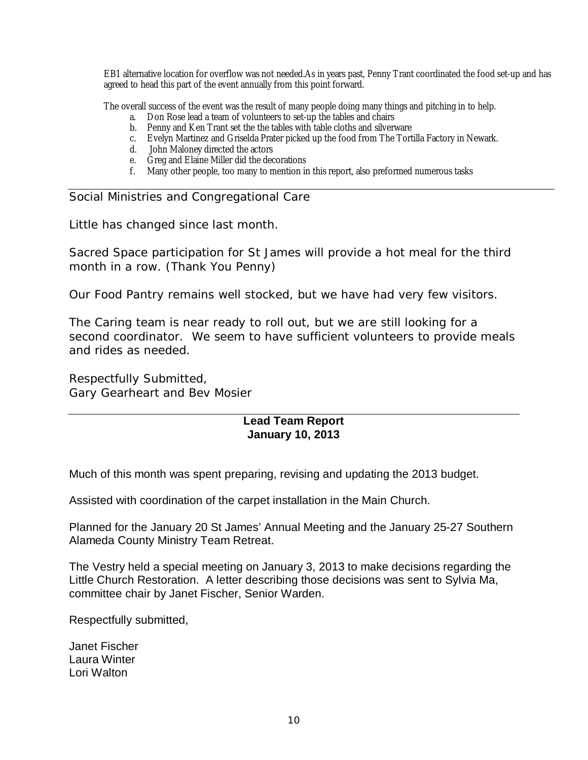EB1 alternative location for overflow was not needed.As in years past, Penny Trant coordinated the food set-up and has agreed to head this part of the event annually from this point forward.

The overall success of the event was the result of many people doing many things and pitching in to help.

- a. Don Rose lead a team of volunteers to set-up the tables and chairs
- b. Penny and Ken Trant set the the tables with table cloths and silverware
- c. Evelyn Martinez and Griselda Prater picked up the food from The Tortilla Factory in Newark.
- d. John Maloney directed the actors
- e. Greg and Elaine Miller did the decorations
- f. Many other people, too many to mention in this report, also preformed numerous tasks

Social Ministries and Congregational Care

Little has changed since last month.

Sacred Space participation for St James will provide a hot meal for the third month in a row. (Thank You Penny)

Our Food Pantry remains well stocked, but we have had very few visitors.

The Caring team is near ready to roll out, but we are still looking for a second coordinator. We seem to have sufficient volunteers to provide meals and rides as needed.

Respectfully Submitted, Gary Gearheart and Bev Mosier

#### **Lead Team Report January 10, 2013**

Much of this month was spent preparing, revising and updating the 2013 budget.

Assisted with coordination of the carpet installation in the Main Church.

Planned for the January 20 St James' Annual Meeting and the January 25-27 Southern Alameda County Ministry Team Retreat.

The Vestry held a special meeting on January 3, 2013 to make decisions regarding the Little Church Restoration. A letter describing those decisions was sent to Sylvia Ma, committee chair by Janet Fischer, Senior Warden.

Respectfully submitted,

Janet Fischer Laura Winter Lori Walton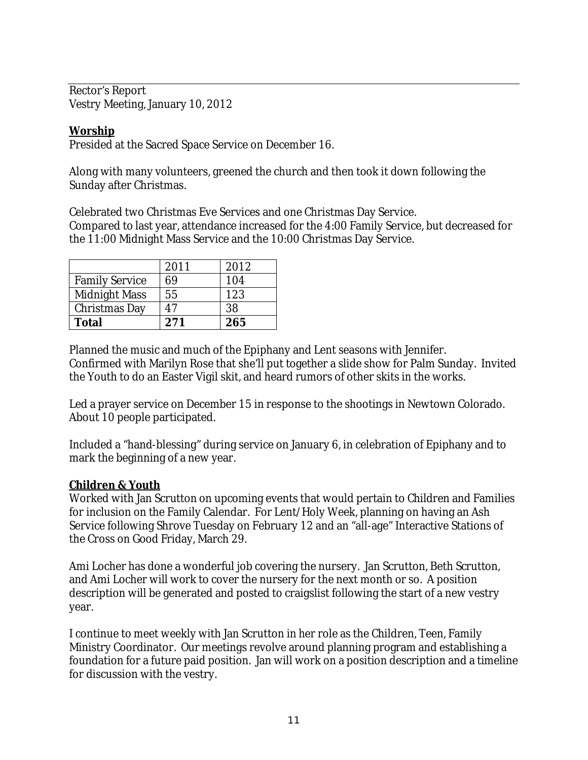Rector's Report Vestry Meeting, January 10, 2012

**Worship** Presided at the Sacred Space Service on December 16.

Along with many volunteers, greened the church and then took it down following the Sunday after Christmas.

Celebrated two Christmas Eve Services and one Christmas Day Service. Compared to last year, attendance increased for the 4:00 Family Service, but decreased for the 11:00 Midnight Mass Service and the 10:00 Christmas Day Service.

|                       | 2011 | 2012 |
|-----------------------|------|------|
| <b>Family Service</b> | 69   | 104  |
| <b>Midnight Mass</b>  | 55   | 123  |
| <b>Christmas Day</b>  | 47   | 38   |
| <b>Total</b>          | 271  | 265  |

Planned the music and much of the Epiphany and Lent seasons with Jennifer. Confirmed with Marilyn Rose that she'll put together a slide show for Palm Sunday. Invited the Youth to do an Easter Vigil skit, and heard rumors of other skits in the works.

Led a prayer service on December 15 in response to the shootings in Newtown Colorado. About 10 people participated.

Included a "hand-blessing" during service on January 6, in celebration of Epiphany and to mark the beginning of a new year.

#### **Children & Youth**

Worked with Jan Scrutton on upcoming events that would pertain to Children and Families for inclusion on the Family Calendar. For Lent/Holy Week, planning on having an Ash Service following Shrove Tuesday on February 12 and an "all-age" Interactive Stations of the Cross on Good Friday, March 29.

Ami Locher has done a wonderful job covering the nursery. Jan Scrutton, Beth Scrutton, and Ami Locher will work to cover the nursery for the next month or so. A position description will be generated and posted to craigslist following the start of a new vestry year.

I continue to meet weekly with Jan Scrutton in her role as the Children, Teen, Family Ministry Coordinator. Our meetings revolve around planning program and establishing a foundation for a future paid position. Jan will work on a position description and a timeline for discussion with the vestry.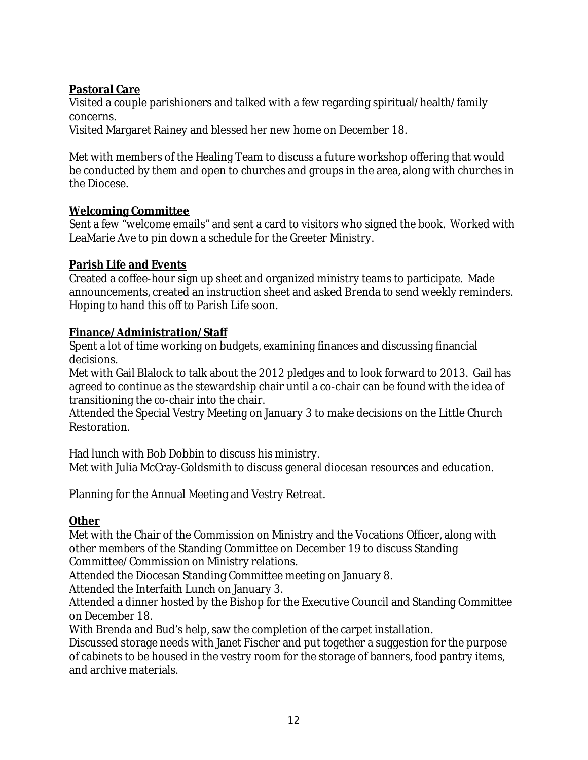### **Pastoral Care**

Visited a couple parishioners and talked with a few regarding spiritual/health/family concerns.

Visited Margaret Rainey and blessed her new home on December 18.

Met with members of the Healing Team to discuss a future workshop offering that would be conducted by them and open to churches and groups in the area, along with churches in the Diocese.

#### **Welcoming Committee**

Sent a few "welcome emails" and sent a card to visitors who signed the book. Worked with LeaMarie Ave to pin down a schedule for the Greeter Ministry.

#### **Parish Life and Events**

Created a coffee-hour sign up sheet and organized ministry teams to participate. Made announcements, created an instruction sheet and asked Brenda to send weekly reminders. Hoping to hand this off to Parish Life soon.

#### **Finance/Administration/Staff**

Spent a lot of time working on budgets, examining finances and discussing financial decisions.

Met with Gail Blalock to talk about the 2012 pledges and to look forward to 2013. Gail has agreed to continue as the stewardship chair until a co-chair can be found with the idea of transitioning the co-chair into the chair.

Attended the Special Vestry Meeting on January 3 to make decisions on the Little Church Restoration.

Had lunch with Bob Dobbin to discuss his ministry. Met with Julia McCray-Goldsmith to discuss general diocesan resources and education.

Planning for the Annual Meeting and Vestry Retreat.

**Other**

Met with the Chair of the Commission on Ministry and the Vocations Officer, along with other members of the Standing Committee on December 19 to discuss Standing Committee/Commission on Ministry relations.

Attended the Diocesan Standing Committee meeting on January 8.

Attended the Interfaith Lunch on January 3.

Attended a dinner hosted by the Bishop for the Executive Council and Standing Committee on December 18.

With Brenda and Bud's help, saw the completion of the carpet installation.

Discussed storage needs with Janet Fischer and put together a suggestion for the purpose of cabinets to be housed in the vestry room for the storage of banners, food pantry items, and archive materials.